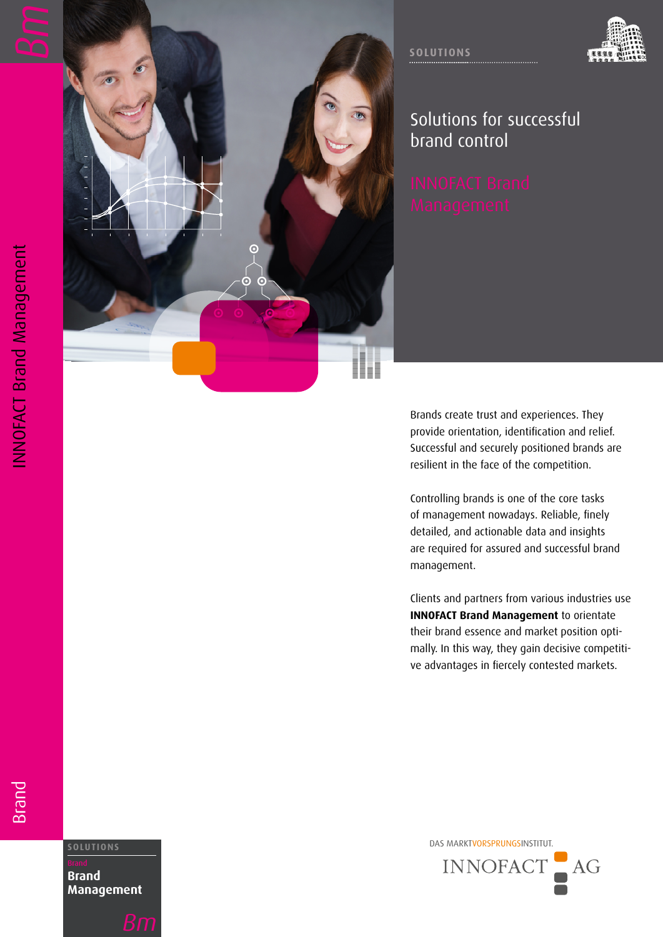



## Solutions for successful brand control

Brands create trust and experiences. They provide orientation, identification and relief. Successful and securely positioned brands are resilient in the face of the competition.

Controlling brands is one of the core tasks of management nowadays. Reliable, finely detailed, and actionable data and insights are required for assured and successful brand management.

Clients and partners from various industries use **INNOFACT Brand Management** to orientate their brand essence and market position opti mally. In this way, they gain decisive competiti ve advantages in fiercely contested markets.

**Brand** 

**Brand Management**



DAS MARKTVORSPRUNGSINSTITUT. **SOLUTIONS** INNOFACT  $AG$